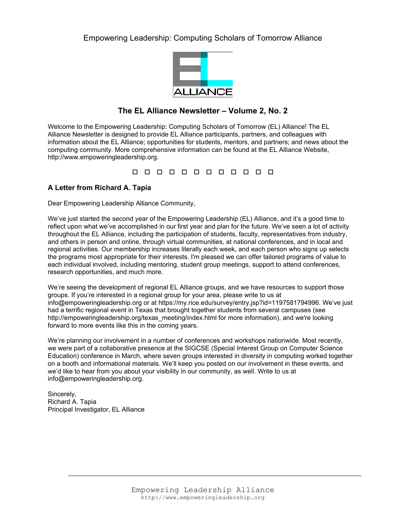# Empowering Leadership: Computing Scholars of Tomorrow Alliance



# **The EL Alliance Newsletter – Volume 2, No. 2**

Welcome to the Empowering Leadership: Computing Scholars of Tomorrow (EL) Alliance! The EL Alliance Newsletter is designed to provide EL Alliance participants, partners, and colleagues with information about the EL Alliance; opportunities for students, mentors, and partners; and news about the computing community. More comprehensive information can be found at the EL Alliance Website, http://www.empoweringleadership.org.

00000000000

# **A Letter from Richard A. Tapia**

Dear Empowering Leadership Alliance Community,

We've just started the second year of the Empowering Leadership (EL) Alliance, and it's a good time to reflect upon what we've accomplished in our first year and plan for the future. We've seen a lot of activity throughout the EL Alliance, including the participation of students, faculty, representatives from industry, and others in person and online, through virtual communities, at national conferences, and in local and regional activities. Our membership increases literally each week, and each person who signs up selects the programs most appropriate for their interests. I'm pleased we can offer tailored programs of value to each individual involved, including mentoring, student group meetings, support to attend conferences, research opportunities, and much more.

We're seeing the development of regional EL Alliance groups, and we have resources to support those groups. If you're interested in a regional group for your area, please write to us at info@empoweringleadership.org or at https://my.rice.edu/survey/entry.jsp?id=1197581794996. We've just had a terrific regional event in Texas that brought together students from several campuses (see http://empoweringleadership.org/texas\_meeting/index.html for more information), and we're looking forward to more events like this in the coming years.

We're planning our involvement in a number of conferences and workshops nationwide. Most recently, we were part of a collaborative presence at the SIGCSE (Special Interest Group on Computer Science Education) conference in March, where seven groups interested in diversity in computing worked together on a booth and informational materials. We'll keep you posted on our involvement in these events, and we'd like to hear from you about your visibility in our community, as well. Write to us at info@empoweringleadership.org.

Sincerely, Richard A. Tapia Principal Investigator, EL Alliance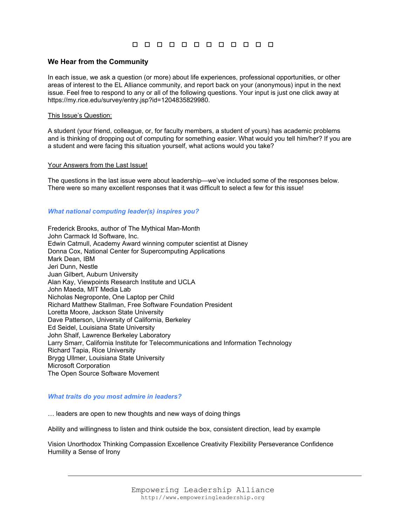## **We Hear from the Community**

In each issue, we ask a question (or more) about life experiences, professional opportunities, or other areas of interest to the EL Alliance community, and report back on your (anonymous) input in the next issue. Feel free to respond to any or all of the following questions. Your input is just one click away at https://my.rice.edu/survey/entry.jsp?id=1204835829980.

#### This Issue's Question:

A student (your friend, colleague, or, for faculty members, a student of yours) has academic problems and is thinking of dropping out of computing for something *easier*. What would you tell him/her? If you are a student and were facing this situation yourself, what actions would you take?

#### Your Answers from the Last Issue!

The questions in the last issue were about leadership—we've included some of the responses below. There were so many excellent responses that it was difficult to select a few for this issue!

#### *What national computing leader(s) inspires you?*

Frederick Brooks, author of The Mythical Man-Month John Carmack Id Software, Inc. Edwin Catmull, Academy Award winning computer scientist at Disney Donna Cox, National Center for Supercomputing Applications Mark Dean, IBM Jeri Dunn, Nestle Juan Gilbert, Auburn University Alan Kay, Viewpoints Research Institute and UCLA John Maeda, MIT Media Lab Nicholas Negroponte, One Laptop per Child Richard Matthew Stallman, Free Software Foundation President Loretta Moore, Jackson State University Dave Patterson, University of California, Berkeley Ed Seidel, Louisiana State University John Shalf, Lawrence Berkeley Laboratory Larry Smarr, California Institute for Telecommunications and Information Technology Richard Tapia, Rice University Brygg Ullmer, Louisiana State University Microsoft Corporation The Open Source Software Movement

#### *What traits do you most admire in leaders?*

… leaders are open to new thoughts and new ways of doing things

Ability and willingness to listen and think outside the box, consistent direction, lead by example

Vision Unorthodox Thinking Compassion Excellence Creativity Flexibility Perseverance Confidence Humility a Sense of Irony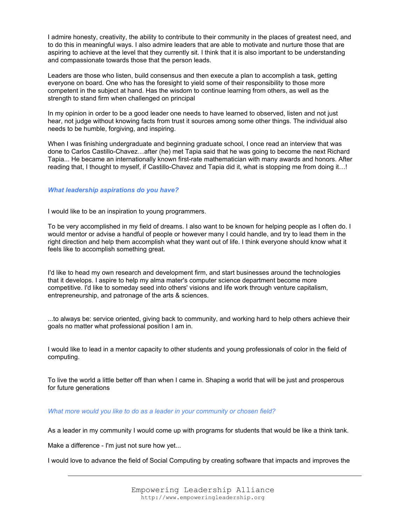I admire honesty, creativity, the ability to contribute to their community in the places of greatest need, and to do this in meaningful ways. I also admire leaders that are able to motivate and nurture those that are aspiring to achieve at the level that they currently sit. I think that it is also important to be understanding and compassionate towards those that the person leads.

Leaders are those who listen, build consensus and then execute a plan to accomplish a task, getting everyone on board. One who has the foresight to yield some of their responsibility to those more competent in the subject at hand. Has the wisdom to continue learning from others, as well as the strength to stand firm when challenged on principal

In my opinion in order to be a good leader one needs to have learned to observed, listen and not just hear, not judge without knowing facts from trust it sources among some other things. The individual also needs to be humble, forgiving, and inspiring.

When I was finishing undergraduate and beginning graduate school, I once read an interview that was done to Carlos Castillo-Chavez…after (he) met Tapia said that he was going to become the next Richard Tapia... He became an internationally known first-rate mathematician with many awards and honors. After reading that, I thought to myself, if Castillo-Chavez and Tapia did it, what is stopping me from doing it…!

## *What leadership aspirations do you have?*

I would like to be an inspiration to young programmers.

To be very accomplished in my field of dreams. I also want to be known for helping people as I often do. I would mentor or advise a handful of people or however many I could handle, and try to lead them in the right direction and help them accomplish what they want out of life. I think everyone should know what it feels like to accomplish something great.

I'd like to head my own research and development firm, and start businesses around the technologies that it develops. I aspire to help my alma mater's computer science department become more competitive. I'd like to someday seed into others' visions and life work through venture capitalism, entrepreneurship, and patronage of the arts & sciences.

...to always be: service oriented, giving back to community, and working hard to help others achieve their goals no matter what professional position I am in.

I would like to lead in a mentor capacity to other students and young professionals of color in the field of computing.

To live the world a little better off than when I came in. Shaping a world that will be just and prosperous for future generations

### *What more would you like to do as a leader in your community or chosen field?*

As a leader in my community I would come up with programs for students that would be like a think tank.

Make a difference - I'm just not sure how yet...

I would love to advance the field of Social Computing by creating software that impacts and improves the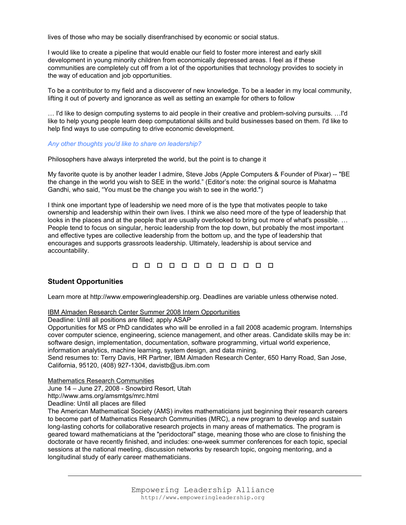lives of those who may be socially disenfranchised by economic or social status.

I would like to create a pipeline that would enable our field to foster more interest and early skill development in young minority children from economically depressed areas. I feel as if these communities are completely cut off from a lot of the opportunities that technology provides to society in the way of education and job opportunities.

To be a contributor to my field and a discoverer of new knowledge. To be a leader in my local community, lifting it out of poverty and ignorance as well as setting an example for others to follow

… I'd like to design computing systems to aid people in their creative and problem-solving pursuits. …I'd like to help young people learn deep computational skills and build businesses based on them. I'd like to help find ways to use computing to drive economic development.

#### *Any other thoughts you'd like to share on leadership?*

Philosophers have always interpreted the world, but the point is to change it

My favorite quote is by another leader I admire, Steve Jobs (Apple Computers & Founder of Pixar) -- "BE the change in the world you wish to SEE in the world." (Editor's note: the original source is Mahatma Gandhi, who said, "You must be the change you wish to see in the world.")

I think one important type of leadership we need more of is the type that motivates people to take ownership and leadership within their own lives. I think we also need more of the type of leadership that looks in the places and at the people that are usually overlooked to bring out more of what's possible. … People tend to focus on singular, heroic leadership from the top down, but probably the most important and effective types are collective leadership from the bottom up, and the type of leadership that encourages and supports grassroots leadership. Ultimately, leadership is about service and accountability.

# 0 0 0 0 0 0 0 0 0 0 0 0

# **Student Opportunities**

Learn more at http://www.empoweringleadership.org. Deadlines are variable unless otherwise noted.

### IBM Almaden Research Center Summer 2008 Intern Opportunities

Deadline: Until all positions are filled; apply ASAP

Opportunities for MS or PhD candidates who will be enrolled in a fall 2008 academic program. Internships cover computer science, engineering, science management, and other areas. Candidate skills may be in: software design, implementation, documentation, software programming, virtual world experience, information analytics, machine learning, system design, and data mining.

Send resumes to: Terry Davis, HR Partner, IBM Almaden Research Center, 650 Harry Road, San Jose, California, 95120, (408) 927-1304, davistb@us.ibm.com

Mathematics Research Communities

June 14 – June 27, 2008 - Snowbird Resort, Utah

http://www.ams.org/amsmtgs/mrc.html

Deadline: Until all places are filled

The American Mathematical Society (AMS) invites mathematicians just beginning their research careers to become part of Mathematics Research Communities (MRC), a new program to develop and sustain long-lasting cohorts for collaborative research projects in many areas of mathematics. The program is geared toward mathematicians at the "peridoctoral" stage, meaning those who are close to finishing the doctorate or have recently finished, and includes: one-week summer conferences for each topic, special sessions at the national meeting, discussion networks by research topic, ongoing mentoring, and a longitudinal study of early career mathematicians.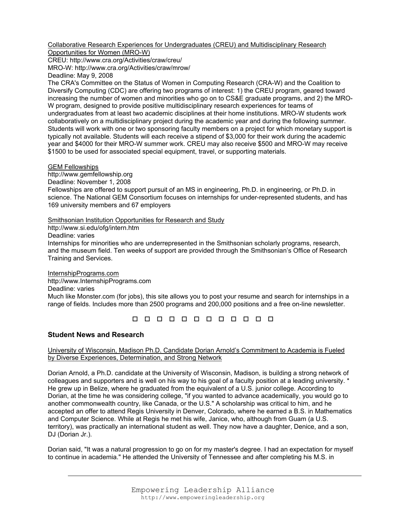Collaborative Research Experiences for Undergraduates (CREU) and Multidisciplinary Research Opportunities for Women (MRO-W)

CREU: http://www.cra.org/Activities/craw/creu/ MRO-W: http://www.cra.org/Activities/craw/mrow/ Deadline: May 9, 2008

The CRA's Committee on the Status of Women in Computing Research (CRA-W) and the Coalition to Diversify Computing (CDC) are offering two programs of interest: 1) the CREU program, geared toward increasing the number of women and minorities who go on to CS&E graduate programs, and 2) the MRO-W program, designed to provide positive multidisciplinary research experiences for teams of undergraduates from at least two academic disciplines at their home institutions. MRO-W students work collaboratively on a multidisciplinary project during the academic year and during the following summer. Students will work with one or two sponsoring faculty members on a project for which monetary support is typically not available. Students will each receive a stipend of \$3,000 for their work during the academic year and \$4000 for their MRO-W summer work. CREU may also receive \$500 and MRO-W may receive \$1500 to be used for associated special equipment, travel, or supporting materials.

## GEM Fellowships

http://www.gemfellowship.org

Deadline: November 1, 2008

Fellowships are offered to support pursuit of an MS in engineering, Ph.D. in engineering, or Ph.D. in science. The National GEM Consortium focuses on internships for under-represented students, and has 169 university members and 67 employers

Smithsonian Institution Opportunities for Research and Study

http://www.si.edu/ofg/intern.htm

Deadline: varies

Internships for minorities who are underrepresented in the Smithsonian scholarly programs, research, and the museum field. Ten weeks of support are provided through the Smithsonian's Office of Research Training and Services.

InternshipPrograms.com http://www.InternshipPrograms.com Deadline: varies Much like Monster.com (for jobs), this site allows you to post your resume and search for internships in a range of fields. Includes more than 2500 programs and 200,000 positions and a free on-line newsletter.

# **Student News and Research**

University of Wisconsin, Madison Ph.D. Candidate Dorian Arnold's Commitment to Academia is Fueled by Diverse Experiences, Determination, and Strong Network

Dorian Arnold, a Ph.D. candidate at the University of Wisconsin, Madison, is building a strong network of colleagues and supporters and is well on his way to his goal of a faculty position at a leading university. \* He grew up in Belize, where he graduated from the equivalent of a U.S. junior college. According to Dorian, at the time he was considering college, "if you wanted to advance academically, you would go to another commonwealth country, like Canada, or the U.S." A scholarship was critical to him, and he accepted an offer to attend Regis University in Denver, Colorado, where he earned a B.S. in Mathematics and Computer Science. While at Regis he met his wife, Janice, who, although from Guam (a U.S. territory), was practically an international student as well. They now have a daughter, Denice, and a son, DJ (Dorian Jr.).

Dorian said, "It was a natural progression to go on for my master's degree. I had an expectation for myself to continue in academia." He attended the University of Tennessee and after completing his M.S. in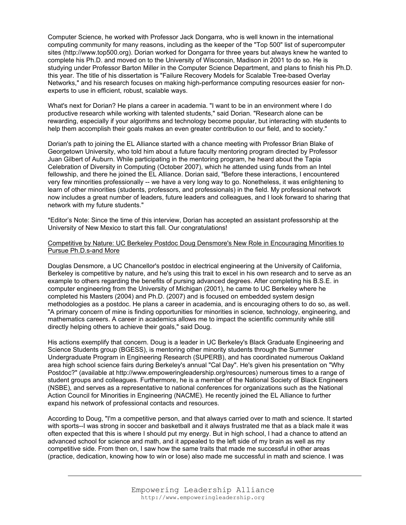Computer Science, he worked with Professor Jack Dongarra, who is well known in the international computing community for many reasons, including as the keeper of the "Top 500" list of supercomputer sites (http://www.top500.org). Dorian worked for Dongarra for three years but always knew he wanted to complete his Ph.D. and moved on to the University of Wisconsin, Madison in 2001 to do so. He is studying under Professor Barton Miller in the Computer Science Department, and plans to finish his Ph.D. this year. The title of his dissertation is "Failure Recovery Models for Scalable Tree-based Overlay Networks," and his research focuses on making high-performance computing resources easier for nonexperts to use in efficient, robust, scalable ways.

What's next for Dorian? He plans a career in academia. "I want to be in an environment where I do productive research while working with talented students," said Dorian. "Research alone can be rewarding, especially if your algorithms and technology become popular, but interacting with students to help them accomplish their goals makes an even greater contribution to our field, and to society."

Dorian's path to joining the EL Alliance started with a chance meeting with Professor Brian Blake of Georgetown University, who told him about a future faculty mentoring program directed by Professor Juan Gilbert of Auburn. While participating in the mentoring program, he heard about the Tapia Celebration of Diversity in Computing (October 2007), which he attended using funds from an Intel fellowship, and there he joined the EL Alliance. Dorian said, "Before these interactions, I encountered very few minorities professionally -- we have a very long way to go. Nonetheless, it was enlightening to learn of other minorities (students, professors, and professionals) in the field. My professional network now includes a great number of leaders, future leaders and colleagues, and I look forward to sharing that network with my future students."

\*Editor's Note: Since the time of this interview, Dorian has accepted an assistant professorship at the University of New Mexico to start this fall. Our congratulations!

### Competitive by Nature: UC Berkeley Postdoc Doug Densmore's New Role in Encouraging Minorities to Pursue Ph.D.s-and More

Douglas Densmore, a UC Chancellor's postdoc in electrical engineering at the University of California, Berkeley is competitive by nature, and he's using this trait to excel in his own research and to serve as an example to others regarding the benefits of pursing advanced degrees. After completing his B.S.E. in computer engineering from the University of Michigan (2001), he came to UC Berkeley where he completed his Masters (2004) and Ph.D. (2007) and is focused on embedded system design methodologies as a postdoc. He plans a career in academia, and is encouraging others to do so, as well. "A primary concern of mine is finding opportunities for minorities in science, technology, engineering, and mathematics careers. A career in academics allows me to impact the scientific community while still directly helping others to achieve their goals," said Doug.

His actions exemplify that concern. Doug is a leader in UC Berkeley's Black Graduate Engineering and Science Students group (BGESS), is mentoring other minority students through the Summer Undergraduate Program in Engineering Research (SUPERB), and has coordinated numerous Oakland area high school science fairs during Berkeley's annual "Cal Day". He's given his presentation on "Why Postdoc?" (available at http://www.empoweringleadership.org/resources) numerous times to a range of student groups and colleagues. Furthermore, he is a member of the National Society of Black Engineers (NSBE), and serves as a representative to national conferences for organizations such as the National Action Council for Minorities in Engineering (NACME). He recently joined the EL Alliance to further expand his network of professional contacts and resources.

According to Doug, "I'm a competitive person, and that always carried over to math and science. It started with sports--I was strong in soccer and basketball and it always frustrated me that as a black male it was often expected that this is where I should put my energy. But in high school, I had a chance to attend an advanced school for science and math, and it appealed to the left side of my brain as well as my competitive side. From then on, I saw how the same traits that made me successful in other areas (practice, dedication, knowing how to win or lose) also made me successful in math and science. I was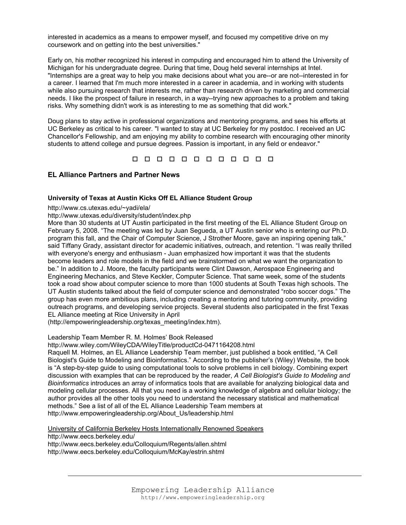interested in academics as a means to empower myself, and focused my competitive drive on my coursework and on getting into the best universities."

Early on, his mother recognized his interest in computing and encouraged him to attend the University of Michigan for his undergraduate degree. During that time, Doug held several internships at Intel. "Internships are a great way to help you make decisions about what you are--or are not--interested in for a career. I learned that I'm much more interested in a career in academia, and in working with students while also pursuing research that interests me, rather than research driven by marketing and commercial needs. I like the prospect of failure in research, in a way--trying new approaches to a problem and taking risks. Why something didn't work is as interesting to me as something that did work."

Doug plans to stay active in professional organizations and mentoring programs, and sees his efforts at UC Berkeley as critical to his career. "I wanted to stay at UC Berkeley for my postdoc. I received an UC Chancellor's Fellowship, and am enjoying my ability to combine research with encouraging other minority students to attend college and pursue degrees. Passion is important, in any field or endeavor."

0 0 0 0 0 0 0 0 0 0 0 0

## **EL Alliance Partners and Partner News**

#### **University of Texas at Austin Kicks Off EL Alliance Student Group**

http://www.cs.utexas.edu/~yadi/ela/

http://www.utexas.edu/diversity/student/index.php

More than 30 students at UT Austin participated in the first meeting of the EL Alliance Student Group on February 5, 2008. "The meeting was led by Juan Segueda, a UT Austin senior who is entering our Ph.D. program this fall, and the Chair of Computer Science, J Strother Moore, gave an inspiring opening talk," said Tiffany Grady, assistant director for academic initiatives, outreach, and retention. "I was really thrilled with everyone's energy and enthusiasm - Juan emphasized how important it was that the students become leaders and role models in the field and we brainstormed on what we want the organization to be." In addition to J. Moore, the faculty participants were Clint Dawson, Aerospace Engineering and Engineering Mechanics, and Steve Keckler, Computer Science. That same week, some of the students took a road show about computer science to more than 1000 students at South Texas high schools. The UT Austin students talked about the field of computer science and demonstrated "robo soccer dogs." The group has even more ambitious plans, including creating a mentoring and tutoring community, providing outreach programs, and developing service projects. Several students also participated in the first Texas EL Alliance meeting at Rice University in April

(http://empoweringleadership.org/texas\_meeting/index.htm).

Leadership Team Member R. M. Holmes' Book Released

http://www.wiley.com/WileyCDA/WileyTitle/productCd-0471164208.html

Raquell M. Holmes, an EL Alliance Leadership Team member, just published a book entitled, "A Cell Biologist's Guide to Modeling and Bioinformatics." According to the publisher's (Wiley) Website, the book is "A step-by-step guide to using computational tools to solve problems in cell biology. Combining expert discussion with examples that can be reproduced by the reader, *A Cell Biologist's Guide to Modeling and Bioinformatics* introduces an array of informatics tools that are available for analyzing biological data and modeling cellular processes. All that you need is a working knowledge of algebra and cellular biology; the author provides all the other tools you need to understand the necessary statistical and mathematical methods." See a list of all of the EL Alliance Leadership Team members at http://www.empoweringleadership.org/About\_Us/leadership.html

University of California Berkeley Hosts Internationally Renowned Speakers http://www.eecs.berkeley.edu/ http://www.eecs.berkeley.edu/Colloquium/Regents/allen.shtml http://www.eecs.berkeley.edu/Colloquium/McKay/estrin.shtml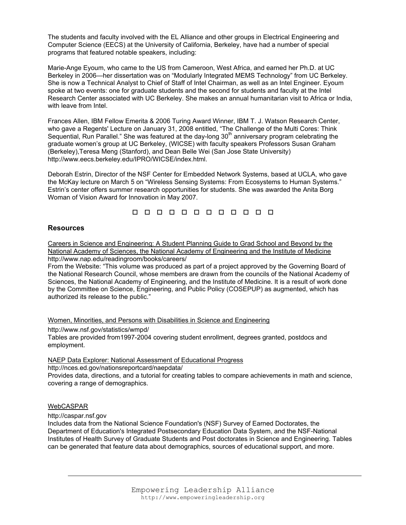The students and faculty involved with the EL Alliance and other groups in Electrical Engineering and Computer Science (EECS) at the University of California, Berkeley, have had a number of special programs that featured notable speakers, including:

Marie-Ange Eyoum, who came to the US from Cameroon, West Africa, and earned her Ph.D. at UC Berkeley in 2006—her dissertation was on "Modularly Integrated MEMS Technology" from UC Berkeley. She is now a Technical Analyst to Chief of Staff of Intel Chairman, as well as an Intel Engineer. Eyoum spoke at two events: one for graduate students and the second for students and faculty at the Intel Research Center associated with UC Berkeley. She makes an annual humanitarian visit to Africa or India, with leave from Intel.

Frances Allen, IBM Fellow Emerita & 2006 Turing Award Winner, IBM T. J. Watson Research Center, who gave a Regents' Lecture on January 31, 2008 entitled, "The Challenge of the Multi Cores: Think Sequential, Run Parallel." She was featured at the day-long 30<sup>th</sup> anniversary program celebrating the graduate women's group at UC Berkeley, (WICSE) with faculty speakers Professors Susan Graham (Berkeley),Teresa Meng (Stanford), and Dean Belle Wei (San Jose State University) http://www.eecs.berkeley.edu/IPRO/WICSE/index.html.

Deborah Estrin, Director of the NSF Center for Embedded Network Systems, based at UCLA, who gave the McKay lecture on March 5 on "Wireless Sensing Systems: From Ecosystems to Human Systems." Estrin's center offers summer research opportunities for students. She was awarded the Anita Borg Woman of Vision Award for Innovation in May 2007.

00000000000

# **Resources**

Careers in Science and Engineering: A Student Planning Guide to Grad School and Beyond by the National Academy of Sciences, the National Academy of Engineering and the Institute of Medicine http://www.nap.edu/readingroom/books/careers/

From the Website: "This volume was produced as part of a project approved by the Governing Board of the National Research Council, whose members are drawn from the councils of the National Academy of Sciences, the National Academy of Engineering, and the Institute of Medicine. It is a result of work done by the Committee on Science, Engineering, and Public Policy (COSEPUP) as augmented, which has authorized its release to the public."

Women, Minorities, and Persons with Disabilities in Science and Engineering

http://www.nsf.gov/statistics/wmpd/

Tables are provided from1997-2004 covering student enrollment, degrees granted, postdocs and employment.

NAEP Data Explorer: National Assessment of Educational Progress

http://nces.ed.gov/nationsreportcard/naepdata/

Provides data, directions, and a tutorial for creating tables to compare achievements in math and science, covering a range of demographics.

# WebCASPAR

http://caspar.nsf.gov

Includes data from the National Science Foundation's (NSF) Survey of Earned Doctorates, the Department of Education's Integrated Postsecondary Education Data System, and the NSF-National Institutes of Health Survey of Graduate Students and Post doctorates in Science and Engineering. Tables can be generated that feature data about demographics, sources of educational support, and more.